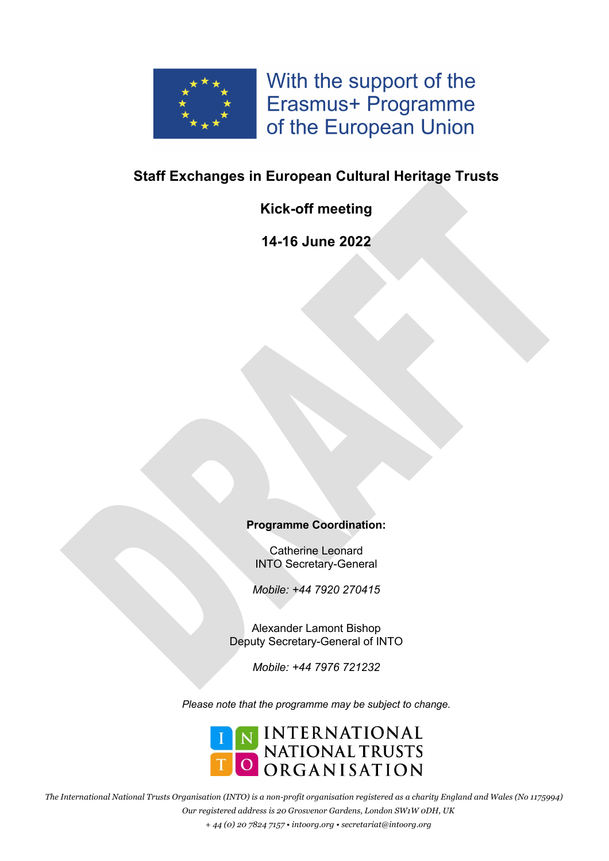

With the support of the Erasmus+ Programme of the European Union

## **Staff Exchanges in European Cultural Heritage Trusts**

## **Kick-off meeting**

**14-16 June 2022**

### **Programme Coordination:**

Catherine Leonard INTO Secretary-General

*Mobile: +44 7920 270415*

Alexander Lamont Bishop Deputy Secretary-General of INTO

*Mobile: +44 7976 721232*

*Please note that the programme may be subject to change.*



*The International National Trusts Organisation (INTO) is a non-profit organisation registered as a charity England and Wales (No 1175994) Our registered address is 20 Grosvenor Gardens, London SW1W 0DH, UK + 44 (0) 20 7824 7157 • intoorg.org • secretariat@intoorg.org*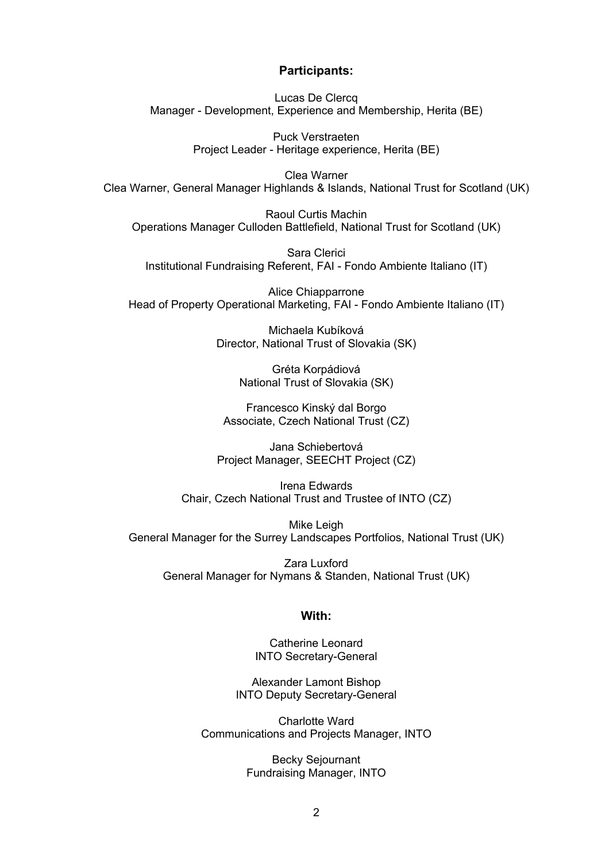#### **Participants:**

Lucas De Clercq Manager - Development, Experience and Membership, Herita (BE)

> Puck Verstraeten Project Leader - Heritage experience, Herita (BE)

Clea Warner Clea Warner, General Manager Highlands & Islands, National Trust for Scotland (UK)

Raoul Curtis Machin Operations Manager Culloden Battlefield, National Trust for Scotland (UK)

Sara Clerici Institutional Fundraising Referent, FAI - Fondo Ambiente Italiano (IT)

Alice Chiapparrone Head of Property Operational Marketing, FAI - Fondo Ambiente Italiano (IT)

> Michaela Kubíková Director, National Trust of Slovakia (SK)

> > Gréta Korpádiová National Trust of Slovakia (SK)

Francesco Kinský dal Borgo Associate, Czech National Trust (CZ)

Jana Schiebertová Project Manager, SEECHT Project (CZ)

Irena Edwards Chair, Czech National Trust and Trustee of INTO (CZ)

Mike Leigh General Manager for the Surrey Landscapes Portfolios, National Trust (UK)

Zara Luxford General Manager for Nymans & Standen, National Trust (UK)

#### **With:**

Catherine Leonard INTO Secretary-General

Alexander Lamont Bishop INTO Deputy Secretary-General

Charlotte Ward Communications and Projects Manager, INTO

> Becky Sejournant Fundraising Manager, INTO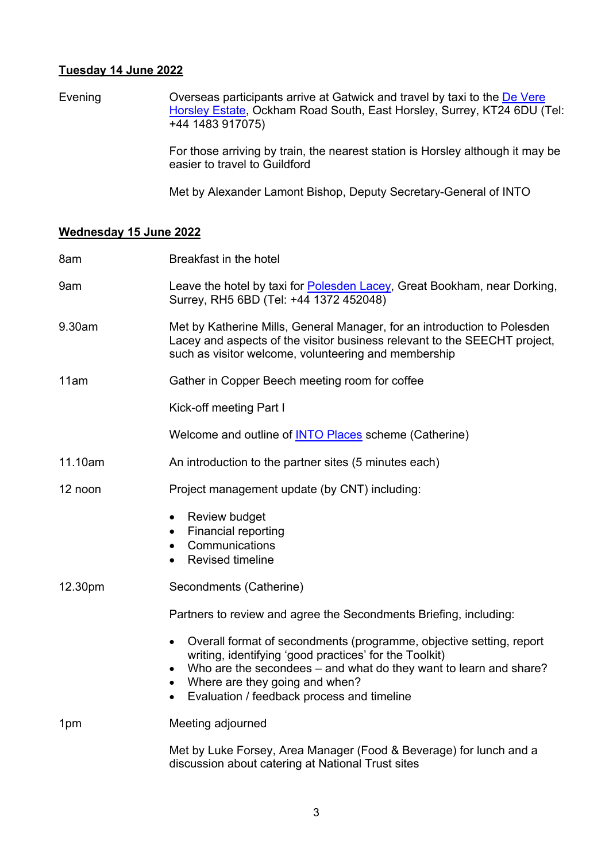#### **Tuesday 14 June 2022**

Evening **Overseas participants arrive at Gatwick and travel by taxi to the De Vere** Horsley Estate, Ockham Road South, East Horsley, Surrey, KT24 6DU (Tel: +44 1483 917075)

> For those arriving by train, the nearest station is Horsley although it may be easier to travel to Guildford

Met by Alexander Lamont Bishop, Deputy Secretary-General of INTO

### **Wednesday 15 June 2022**

| 8am     | Breakfast in the hotel                                                                                                                                                                                                                                                                            |
|---------|---------------------------------------------------------------------------------------------------------------------------------------------------------------------------------------------------------------------------------------------------------------------------------------------------|
| 9am     | Leave the hotel by taxi for Polesden Lacey, Great Bookham, near Dorking,<br>Surrey, RH5 6BD (Tel: +44 1372 452048)                                                                                                                                                                                |
| 9.30am  | Met by Katherine Mills, General Manager, for an introduction to Polesden<br>Lacey and aspects of the visitor business relevant to the SEECHT project,<br>such as visitor welcome, volunteering and membership                                                                                     |
| 11am    | Gather in Copper Beech meeting room for coffee                                                                                                                                                                                                                                                    |
|         | Kick-off meeting Part I                                                                                                                                                                                                                                                                           |
|         | Welcome and outline of <b>INTO Places</b> scheme (Catherine)                                                                                                                                                                                                                                      |
| 11.10am | An introduction to the partner sites (5 minutes each)                                                                                                                                                                                                                                             |
| 12 noon | Project management update (by CNT) including:                                                                                                                                                                                                                                                     |
|         | Review budget<br>$\bullet$<br><b>Financial reporting</b><br>$\bullet$<br>Communications<br>$\bullet$<br><b>Revised timeline</b><br>$\bullet$                                                                                                                                                      |
| 12.30pm | Secondments (Catherine)                                                                                                                                                                                                                                                                           |
|         | Partners to review and agree the Secondments Briefing, including:                                                                                                                                                                                                                                 |
|         | Overall format of secondments (programme, objective setting, report<br>writing, identifying 'good practices' for the Toolkit)<br>Who are the secondees – and what do they want to learn and share?<br>• Where are they going and when?<br>Evaluation / feedback process and timeline<br>$\bullet$ |
| 1pm     | Meeting adjourned                                                                                                                                                                                                                                                                                 |
|         | Met by Luke Forsey, Area Manager (Food & Beverage) for lunch and a<br>discussion about catering at National Trust sites                                                                                                                                                                           |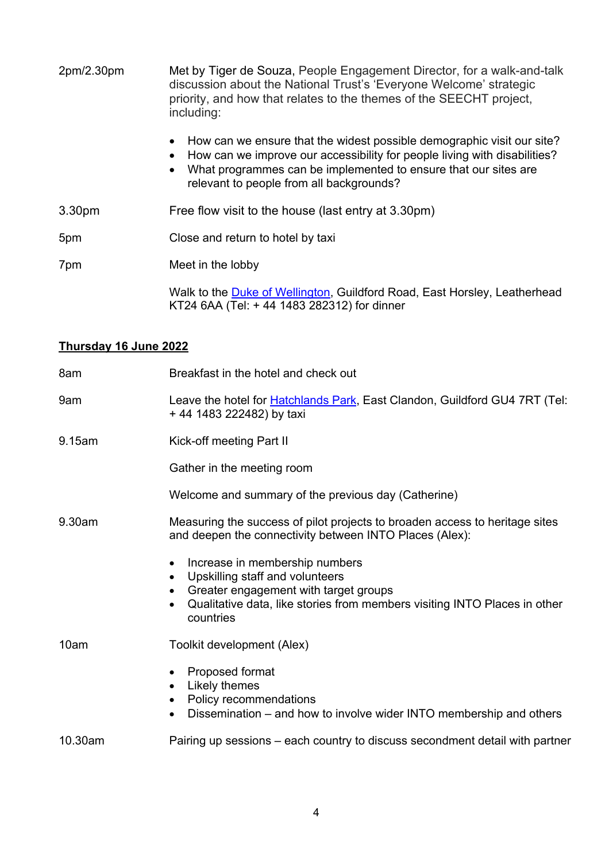| 2pm/2.30pm         | Met by Tiger de Souza, People Engagement Director, for a walk-and-talk<br>discussion about the National Trust's 'Everyone Welcome' strategic<br>priority, and how that relates to the themes of the SEECHT project,<br>including:                                               |
|--------------------|---------------------------------------------------------------------------------------------------------------------------------------------------------------------------------------------------------------------------------------------------------------------------------|
|                    | How can we ensure that the widest possible demographic visit our site?<br>How can we improve our accessibility for people living with disabilities?<br>What programmes can be implemented to ensure that our sites are<br>$\bullet$<br>relevant to people from all backgrounds? |
| 3.30 <sub>pm</sub> | Free flow visit to the house (last entry at 3.30pm)                                                                                                                                                                                                                             |
| 5pm                | Close and return to hotel by taxi                                                                                                                                                                                                                                               |
| 7pm                | Meet in the lobby                                                                                                                                                                                                                                                               |
|                    | Walk to the Duke of Wellington, Guildford Road, East Horsley, Leatherhead                                                                                                                                                                                                       |

KT24 6AA (Tel: + 44 1483 282312) for dinner

# **Thursday 16 June 2022**

| 8am     | Breakfast in the hotel and check out                                                                                                                                                                                                             |
|---------|--------------------------------------------------------------------------------------------------------------------------------------------------------------------------------------------------------------------------------------------------|
| 9am     | Leave the hotel for <b>Hatchlands Park</b> , East Clandon, Guildford GU4 7RT (Tel:<br>+44 1483 222482) by taxi                                                                                                                                   |
| 9.15am  | Kick-off meeting Part II                                                                                                                                                                                                                         |
|         | Gather in the meeting room                                                                                                                                                                                                                       |
|         | Welcome and summary of the previous day (Catherine)                                                                                                                                                                                              |
| 9.30am  | Measuring the success of pilot projects to broaden access to heritage sites<br>and deepen the connectivity between INTO Places (Alex):                                                                                                           |
|         | Increase in membership numbers<br>٠<br>Upskilling staff and volunteers<br>$\bullet$<br>Greater engagement with target groups<br>$\bullet$<br>Qualitative data, like stories from members visiting INTO Places in other<br>$\bullet$<br>countries |
| 10am    | Toolkit development (Alex)                                                                                                                                                                                                                       |
|         | Proposed format<br>٠<br>Likely themes<br>$\bullet$<br>Policy recommendations<br>Dissemination – and how to involve wider INTO membership and others                                                                                              |
| 10.30am | Pairing up sessions – each country to discuss secondment detail with partner                                                                                                                                                                     |